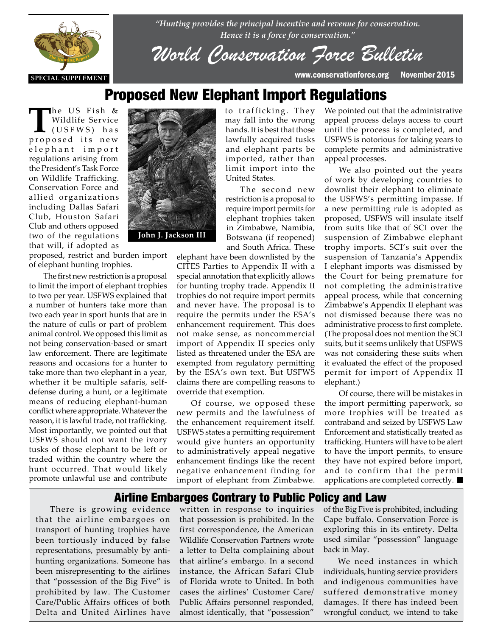

*"Hunting provides the principal incentive and revenue for conservation. Hence it is a force for conservation."*

# *World Conservation Force Bulletin*

# Proposed New Elephant Import Regulations

The US Fish & Wildlife Service (USFWS) has Wildlife Service proposed its new e lephant import regulations arising from the President's Task Force on Wildlife Trafficking. Conservation Force and allied organizations including Dallas Safari Club, Houston Safari Club and others opposed two of the regulations that will, if adopted as

proposed, restrict and burden import of elephant hunting trophies.

The first new restriction is a proposal to limit the import of elephant trophies to limit the import of elephant trophies<br>to two per year. USFWS explained that a number of hunters take more than two each year in sport hunts that are in the nature of culls or part of problem animal control. We opposed this limit as not being conservation-based or smart law enforcement. There are legitimate reasons and occasions for a hunter to take more than two elephant in a year, whether it be multiple safaris, selfdefense during a hunt, or a legitimate means of reducing elephant-human conflict where appropriate. Whatever the reason, it is lawful trade, not trafficking. Most importantly, we pointed out that USFWS should not want the ivory tusks of those elephant to be left or traded within the country where the hunt occurred. That would likely promote unlawful use and contribute



to trafficking. They may fall into the wrong hands. It is best that those lawfully acquired tusks and elephant parts be imported, rather than limit import into the United States.

The second new restriction is a proposal to require import permits for elephant trophies taken in Zimbabwe, Namibia, Botswana (if reopened) and South Africa. These

elephant have been downlisted by the CITES Parties to Appendix II with a special annotation that explicitly allows for hunting trophy trade. Appendix II trophies do not require import permits and never have. The proposal is to require the permits under the ESA's enhancement requirement. This does not make sense, as noncommercial import of Appendix II species only listed as threatened under the ESA are exempted from regulatory permitting by the ESA's own text. But USFWS claims there are compelling reasons to override that exemption.

Of course, we opposed these new permits and the lawfulness of the enhancement requirement itself. USFWS states a permitting requirement would give hunters an opportunity to administratively appeal negative enhancement findings like the recent negative enhancement finding for import of elephant from Zimbabwe.

We pointed out that the administrative appeal process delays access to court until the process is completed, and USFWS is notorious for taking years to complete permits and administrative appeal processes.

We also pointed out the years of work by developing countries to downlist their elephant to eliminate the USFWS's permitting impasse. If a new permitting rule is adopted as proposed, USFWS will insulate itself from suits like that of SCI over the suspension of Zimbabwe elephant trophy imports. SCI's suit over the suspension of Tanzania's Appendix I elephant imports was dismissed by the Court for being premature for not completing the administrative appeal process, while that concerning Zimbabwe's Appendix II elephant was not dismissed because there was no administrative process to first complete. (The proposal does not mention the SCI suits, but it seems unlikely that USFWS was not considering these suits when it evaluated the effect of the proposed permit for import of Appendix II elephant.)

Of course, there will be mistakes in the import permitting paperwork, so more trophies will be treated as contraband and seized by USFWS Law Enforcement and statistically treated as trafficking. Hunters will have to be alert to have the import permits, to ensure they have not expired before import, and to confirm that the permit applications are completed correctly.

### Airline Embargoes Contrary to Public Policy and Law

There is growing evidence that the airline embargoes on transport of hunting trophies have been tortiously induced by false representations, presumably by antihunting organizations. Someone has been misrepresenting to the airlines that "possession of the Big Five" is prohibited by law. The Customer Care/Public Affairs offices of both Delta and United Airlines have written in response to inquiries that possession is prohibited. In the first correspondence, the American Wildlife Conservation Partners wrote a letter to Delta complaining about that airline's embargo. In a second instance, the African Safari Club of Florida wrote to United. In both cases the airlines' Customer Care/ Public Affairs personnel responded, almost identically, that "possession"

of the Big Five is prohibited, including Cape buffalo. Conservation Force is exploring this in its entirety. Delta used similar "possession" language back in May.

We need instances in which individuals, hunting service providers and indigenous communities have suffered demonstrative money damages. If there has indeed been wrongful conduct, we intend to take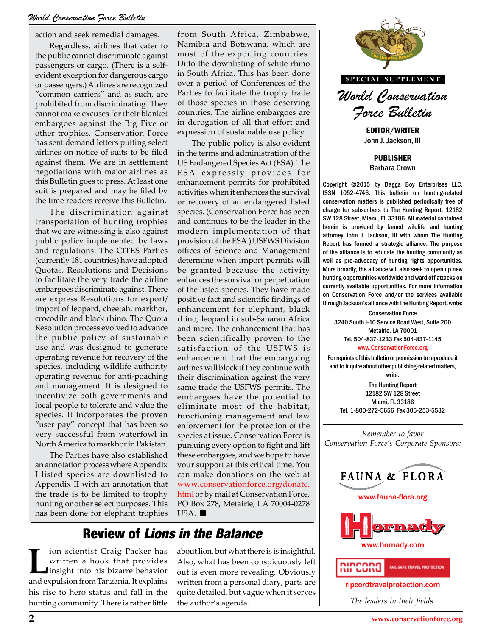action and seek remedial damages.

Regardless, airlines that cater to the public cannot discriminate against passengers or cargo. (There is a selfevident exception for dangerous cargo or passengers.) Airlines are recognized "common carriers" and as such, are prohibited from discriminating. They cannot make excuses for their blanket embargoes against the Big Five or other trophies. Conservation Force has sent demand letters putting select airlines on notice of suits to be filed against them. We are in settlement negotiations with major airlines as this Bulletin goes to press. At least one suit is prepared and may be filed by the time readers receive this Bulletin.

The discrimination against transportation of hunting trophies that we are witnessing is also against public policy implemented by laws and regulations. The CITES Parties (currently 181 countries) have adopted Quotas, Resolutions and Decisions to facilitate the very trade the airline embargoes discriminate against. There are express Resolutions for export/ import of leopard, cheetah, markhor, crocodile and black rhino. The Quota Resolution process evolved to advance the public policy of sustainable use and was designed to generate operating revenue for recovery of the species, including wildlife authority operating revenue for anti-poaching and management. It is designed to incentivize both governments and local people to tolerate and value the species. It incorporates the proven "user pay" concept that has been so very successful from waterfowl in North America to markhor in Pakistan.

The Parties have also established an annotation process where Appendix I listed species are downlisted to Appendix II with an annotation that the trade is to be limited to trophy hunting or other select purposes. This has been done for elephant trophies from South Africa, Zimbabwe, Namibia and Botswana, which are most of the exporting countries. Ditto the downlisting of white rhino in South Africa. This has been done over a period of Conferences of the Parties to facilitate the trophy trade of those species in those deserving countries. The airline embargoes are in derogation of all that effort and expression of sustainable use policy.

The public policy is also evident in the terms and administration of the US Endangered Species Act (ESA). The ESA expressly provides for enhancement permits for prohibited activities when it enhances the survival or recovery of an endangered listed species. (Conservation Force has been and continues to be the leader in the modern implementation of that provision of the ESA.) USFWS Division offices of Science and Management determine when import permits will be granted because the activity enhances the survival or perpetuation of the listed species. They have made positive fact and scientific findings of enhancement for elephant, black rhino, leopard in sub-Saharan Africa and more. The enhancement that has been scientifically proven to the satisfaction of the USFWS is enhancement that the embargoing airlines will block if they continue with their discrimination against the very same trade the USFWS permits. The embargoes have the potential to eliminate most of the habitat, functioning management and law enforcement for the protection of the species at issue. Conservation Force is pursuing every option to fight and lift these embargoes, and we hope to have your support at this critical time. You can make donations on the web at www.conservationforce.org/donate. html or by mail at Conservation Force, PO Box 278, Metairie, LA 70004-0278 USA.

## Review of *Lions in the Balance*

**Lion scientist Craig Packer has** written a book that provides insight into his bizarre behavior and expulsion from Tanzania. It explains his rise to hero status and fall in the hunting community. There is rather little

about lion, but what there is is insightful. Also, what has been conspicuously left out is even more revealing. Obviously written from a personal diary, parts are quite detailed, but vague when it serves the author's agenda.



John J. Jackson, III

PUBLISHER Barbara Crown

Copyright ©2015 by Dagga Boy Enterprises LLC. ISSN 1052-4746. This bulletin on hunting-related conservation matters is published periodically free of charge for subscribers to The Hunting Report, 12182 SW 128 Street, Miami, FL 33186. All material contained herein is provided by famed wildlife and hunting attorney John J. Jackson, III with whom The Hunting Report has formed a strategic alliance. The purpose of the alliance is to educate the hunting community as well as pro-advocacy of hunting rights opportunities.<br> **THE HUNTING REPORT OF A PARTICLE PROPERTY** More broadly, the alliance will also seek to open up new More broadly, the alliance will also seek to open up new hunting opportunities worldwide and ward off attacks on currently available opportunities. For more information refindings of **one Conservation Force and/or the services available**<br> **C** findings of **through Jackson's alliance with The Hunting Report, write:** through Jackson's alliance with The Hunting Report, write:

> Conservation Force 3240 South I-10 Service Road West, Suite 200 Metairie, LA 70001 Tel. 504-837-1233 Fax 504-837-1145 www.ConservationForce.org

For reprints of this bulletin or permission to reproduce it and to inquire about other publishing-related matters, write:

The Hunting Report 12182 SW 128 Street Miami, FL 33186 Tel. 1-800-272-5656 Fax 305-253-5532

*Remember to favor Conservation Force's Corporate Sponsors:*









ripcordtravelprotection.com

*The leaders in their fields.*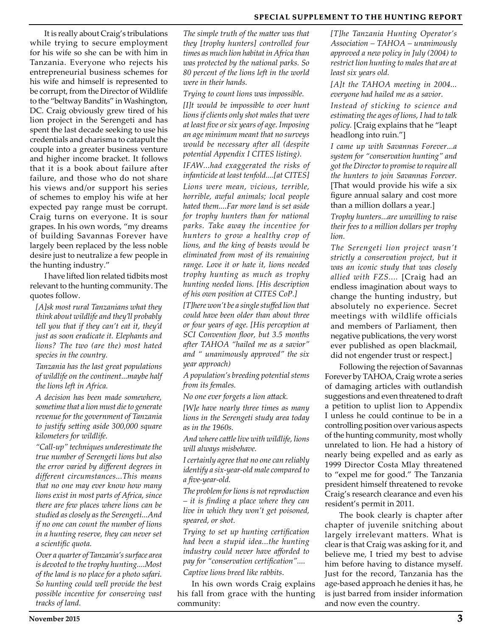#### **SPECIAL SUPPLEMENT TO THE HUNTING REPORT**

It is really about Craig's tribulations while trying to secure employment for his wife so she can be with him in Tanzania. Everyone who rejects his entrepreneurial business schemes for his wife and himself is represented to be corrupt, from the Director of Wildlife to the "beltway Bandits" in Washington, DC. Craig obviously grew tired of his lion project in the Serengeti and has spent the last decade seeking to use his credentials and charisma to catapult the couple into a greater business venture and higher income bracket. It follows that it is a book about failure after failure, and those who do not share his views and/or support his series of schemes to employ his wife at her expected pay range must be corrupt. Craig turns on everyone. It is sour grapes. In his own words, "my dreams of building Savannas Forever have largely been replaced by the less noble desire just to neutralize a few people in the hunting industry."

I have lifted lion related tidbits most relevant to the hunting community. The quotes follow.

*[A]sk most rural Tanzanians what they think about wildlife and they'll probably tell you that if they can't eat it, they'd just as soon eradicate it. Elephants and lions? The two (are the) most hated species in the country.*

*Tanzania has the last great populations of wildlife on the continent...maybe half the lions left in Africa.*

*A decision has been made somewhere, sometime that a lion must die to generate revenue for the government of Tanzania to justify setting aside 300,000 square kilometers for wildlife.*

*"Call-up" techniques underestimate the true number of Serengeti lions but also the error varied by different degrees in different circumstances...This means that no one may ever know how many lions exist in most parts of Africa, since there are few places where lions can be studied as closely as the Serengeti...And if no one can count the number of lions in a hunting reserve, they can never set a scientific quota.*

*Over a quarter of Tanzania's surface area is devoted to the trophy hunting....Most of the land is no place for a photo safari. So hunting could well provide the best possible incentive for conserving vast tracks of land.*

*The simple truth of the matter was that they [trophy hunters] controlled four times as much lion habitat in Africa than was protected by the national parks. So 80 percent of the lions left in the world were in their hands.*

*Trying to count lions was impossible.*

*[I]t would be impossible to over hunt lions if clients only shot males that were at least five or six years of age. Imposing an age minimum meant that no surveys would be necessary after all (despite potential Appendix I CITES listing).*

*IFAW...had exaggerated the risks of infanticide at least tenfold....[at CITES] Lions were mean, vicious, terrible, horrible, awful animals; local people hated them....Far more land is set aside for trophy hunters than for national parks. Take away the incentive for hunters to grow a healthy crop of lions, and the king of beasts would be eliminated from most of its remaining range. Love it or hate it, lions needed trophy hunting as much as trophy hunting needed lions. [His description of his own position at CITES CoP.]*

*[T]here won't be a single stuffed lion that could have been older than about three or four years of age. [His perception at SCI Convention floor, but 3.5 months after TAHOA "hailed me as a savior" and " unanimously approved" the six year approach)*

*A population's breeding potential stems from its females.*

*No one ever forgets a lion attack.*

*[W]e have nearly three times as many lions in the Serengeti study area today as in the 1960s.*

*And where cattle live with wildlife, lions will always misbehave.*

*I certainly agree that no one can reliably identify a six-year-old male compared to a five-year-old.*

*The problem for lions is not reproduction – it is finding a place where they can live in which they won't get poisoned, speared, or shot.*

*Trying to set up hunting certification had been a stupid idea...the hunting industry could never have afforded to pay for "conservation certification".... Captive lions breed like rabbits*.

In his own words Craig explains his fall from grace with the hunting community:

*[T]he Tanzania Hunting Operator's Association – TAHOA – unanimously approved a new policy in July (2004) to restrict lion hunting to males that are at least six years old.*

*[A]t the TAHOA meeting in 2004... everyone had hailed me as a savior.*

*Instead of sticking to science and estimating the ages of lions, I had to talk policy.* [Craig explains that he "leapt headlong into ruin."]

*I came up with Savannas Forever...a system for "conservation hunting" and got the Director to promise to require all the hunters to join Savannas Forever.*  [That would provide his wife a six figure annual salary and cost more than a million dollars a year.]

*Trophy hunters...are unwilling to raise their fees to a million dollars per trophy lion.*

*The Serengeti lion project wasn't strictly a conservation project, but it was an iconic study that was closely allied with FZS....* [Craig had an endless imagination about ways to change the hunting industry, but absolutely no experience. Secret meetings with wildlife officials and members of Parliament, then negative publications, the very worst ever published as open blackmail, did not engender trust or respect.]

Following the rejection of Savannas Forever by TAHOA, Craig wrote a series of damaging articles with outlandish suggestions and even threatened to draft a petition to uplist lion to Appendix I unless he could continue to be in a controlling position over various aspects of the hunting community, most wholly unrelated to lion. He had a history of nearly being expelled and as early as 1999 Director Costa Mlay threatened to "expel me for good." The Tanzania president himself threatened to revoke Craig's research clearance and even his resident's permit in 2011.

The book clearly is chapter after chapter of juvenile snitching about largely irrelevant matters. What is clear is that Craig was asking for it, and believe me, I tried my best to advise him before having to distance myself. Just for the record, Tanzania has the age-based approach he denies it has, he is just barred from insider information and now even the country.